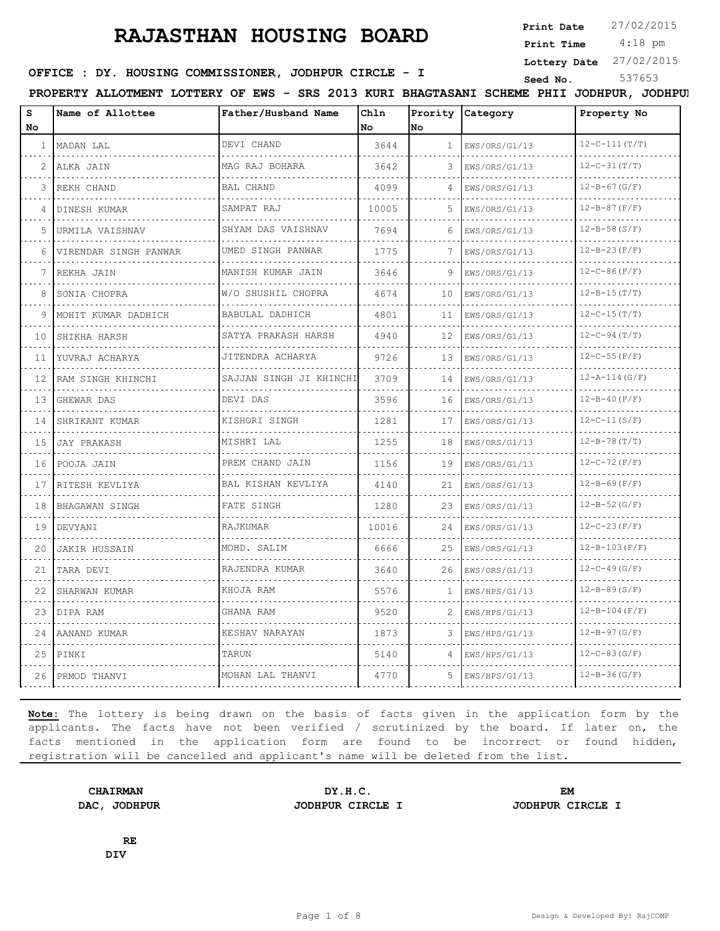**Print Date**  $27/02/2015$ 

 4:18 pm **Print Time**

**Lottery Date** 27/02/2015

# **SEED IN SEED IN SEED ASSESSED ASSESSED ASSESSED ASSESSED ASSESSED ASSESSED ASSESS** STRING STRING STRING STRING STRING STRING STRING STRING STRING STRING STRING STRING STRING STRING STRING STRING STRING STRING STRING STRIN

**PROPERTY ALLOTMENT LOTTERY OF EWS - SRS 2013 KURI BHAGTASANI SCHEME PHII JODHPUR, JODHPUR**

| S<br>No        | Name of Allottee      | Father/Husband Name      | Chln<br>l No | No           | Prority Category | Property No              |
|----------------|-----------------------|--------------------------|--------------|--------------|------------------|--------------------------|
| $\mathbf{1}$   | MADAN LAL             | DEVI CHAND               | 3644         | $\mathbf{1}$ | EWS/ORS/G1/13    | $12-C-111(T/T)$          |
| $\overline{2}$ | ALKA JAIN             | MAG RAJ BOHARA           | 3642         | 3            | EWS/ORS/G1/13    | $12-C-31(T/T)$           |
| 3              | REKH CHAND            | <b>BAL CHAND</b>         | 4099         |              | EWS/ORS/G1/13    | $12 - B - 67 (G/F)$      |
| 4              | DINESH KUMAR          | SAMPAT RAJ               | 10005        | 5            | EWS/ORS/G1/13    | $12 - B - 87(F/F)$       |
| 5              | URMILA VAISHNAV       | SHYAM DAS VAISHNAV       | 7694         | 6            | EWS/ORS/G1/13    | $12 - B - 58(S/F)$       |
| 6              | VIRENDAR SINGH PANWAR | UMED SINGH PANWAR        | 1775         | 7            | EWS/ORS/G1/13    | $12 - B - 23(F/F)$       |
| 7              | REKHA JAIN            | .<br>MANISH KUMAR JAIN   | 3646         | 9            | EWS/ORS/G1/13    | $12 - C - 86(F/F)$       |
| 8              | SONIA CHOPRA          | W/O SHUSHIL CHOPRA       | 4674         | 10           | EWS/ORS/G1/13    | $12 - B - 15(T/T)$       |
| 9              | MOHIT KUMAR DADHICH   | BABULAL DADHICH          | 4801         | 11           | EWS/ORS/G1/13    | $12 - C - 15(T/T)$       |
| 10             | SHIKHA HARSH          | .<br>SATYA PRAKASH HARSH | 4940         | 12           | EWS/ORS/G1/13    | $12-C-94(T/T)$           |
| 11             | YUVRAJ ACHARYA        | JITENDRA ACHARYA         | 9726         | 13           | EWS/ORS/G1/13    | $12 - C - 55(F/F)$       |
| 12             | RAM SINGH KHINCHI     | SAJJAN SINGH JI KHINCHI  | 3709         | 14           | EWS/ORS/G1/13    | $12 - A - 114(G/F)$      |
| 13             | GHEWAR DAS            | DEVI DAS                 | 3596         | 16           | EWS/ORS/G1/13    | $12 - B - 40(F/F)$       |
| 14             | SHRIKANT KUMAR        | KISHORI SINGH            | 1281         | 17           | EWS/ORS/G1/13    | $12-C-11(S/F)$           |
| 15             | JAY PRAKASH           | MISHRI LAL               | 1255         | 18           | EWS/ORS/G1/13    | $12 - B - 78(T/T)$       |
| 16             | POOJA JAIN            | PREM CHAND JAIN          | 1156         | 19           | EWS/ORS/G1/13    | $12-C-72(F/F)$           |
| 17             | RITESH KEVLIYA        | BAL KISHAN KEVLIYA       | 4140         | 21           | EWS/ORS/G1/13    | $12 - B - 69(F/F)$       |
| 18             | BHAGAWAN SINGH        | FATE SINGH               | 1280         | 23           | EWS/ORS/G1/13    | $12 - B - 52$ (G/F)      |
| 19             | DEVYANI               | RAJKUMAR                 | 10016        | 24           | EWS/ORS/G1/13    | $12-C-23(F/F)$           |
| 20             | <b>JAKIR HUSSAIN</b>  | MOHD. SALIM              | 6666         | 25           | EWS/ORS/G1/13    | $12 - B - 103(F/F)$      |
| 21             | TARA DEVI             | RAJENDRA KUMAR           | 3640         | 26           | EWS/ORS/G1/13    | $12 - C - 49$ (G/F)      |
| 22             | SHARWAN KUMAR         | KHOJA RAM                | 5576         | 1            | EWS/HPS/G1/13    | $12 - B - 89(S/F)$       |
| 23             | DIPA RAM              | GHANA RAM                | 9520         | 2            | EWS/HPS/G1/13    | $12 - B - 104$ ( $F/F$ ) |
| 24             | AANAND KUMAR          | KESHAV NARAYAN           | 1873         | 3            | EWS/HPS/G1/13    | $12 - B - 97 (G/F)$      |
| 25             | PINKI                 | TARUN                    | 5140         | 4            | EWS/HPS/G1/13    | $12-C-83(G/F)$           |
| 26             | PRMOD THANVI          | MOHAN LAL THANVI         | 4770         | 5            | EWS/HPS/G1/13    | $12 - B - 36(G/F)$       |

**Note:** The lottery is being drawn on the basis of facts given in the application form by the applicants. The facts have not been verified / scrutinized by the board. If later on, the facts mentioned in the application form are found to be incorrect or found hidden, registration will be cancelled and applicant's name will be deleted from the list.

**CHAIRMAN DY.H.C. EM DAC, JODHPUR JODHPUR CIRCLE I JODHPUR CIRCLE I**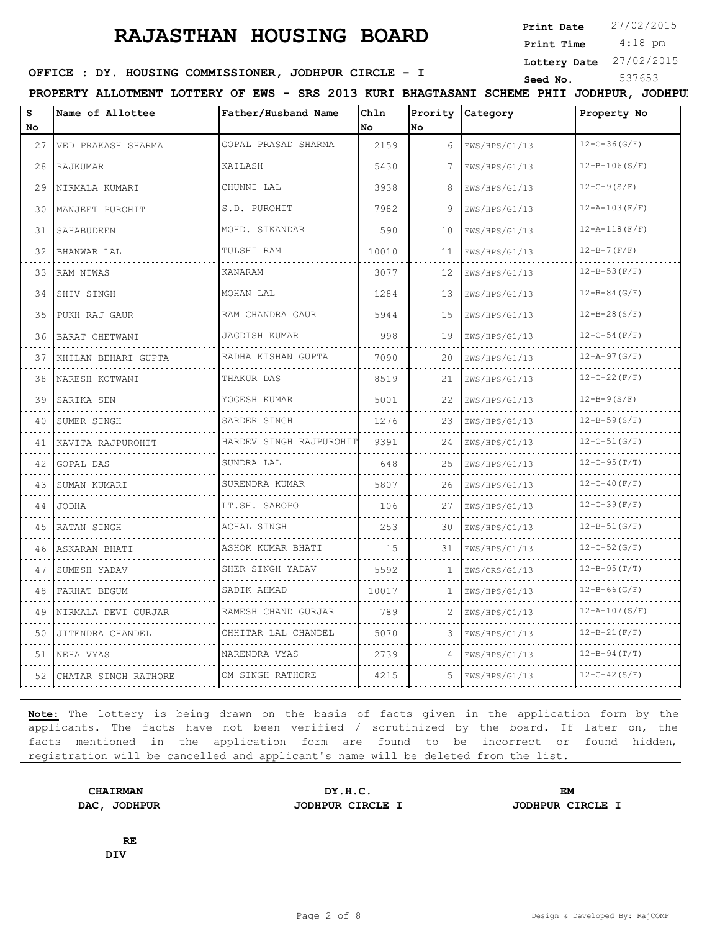**Print Date**  $27/02/2015$ 

 4:18 pm **Print Time**

**Lottery Date** 27/02/2015

# **SEED IN SEED IN SEED ASSESSED ASSESSED ASSESSED ASSESSED ASSESSED ASSESSED ASSESS** STRING STRING STRING STRING STRING STRING STRING STRING STRING STRING STRING STRING STRING STRING STRING STRING STRING STRING STRING STRIN

**PROPERTY ALLOTMENT LOTTERY OF EWS - SRS 2013 KURI BHAGTASANI SCHEME PHII JODHPUR, JODHPUR**

| s<br>No | Name of Allottee        | Father/Husband Name                        | Chln<br>No | No | Prority Category | Property No         |
|---------|-------------------------|--------------------------------------------|------------|----|------------------|---------------------|
| 27      | VED PRAKASH SHARMA      | GOPAL PRASAD SHARMA                        | 2159       | 6  | EWS/HPS/G1/13    | $12 - C - 36(G/F)$  |
| 28      | RAJKUMAR                | KAILASH                                    | 5430       |    | EWS/HPS/G1/13    | $12 - B - 106(S/F)$ |
| 29      | NIRMALA KUMARI<br>.     | CHUNNI LAL                                 | 3938       | 8  | EWS/HPS/G1/13    | $12 - C - 9(S/F)$   |
| 30      | MANJEET PUROHIT         | S.D. PUROHIT<br>.                          | 7982       | 9  | EWS/HPS/G1/13    | $12 - A - 103(F/F)$ |
| 31      | SAHABUDEEN              | MOHD. SIKANDAR                             | 590        | 10 | EWS/HPS/G1/13    | $12 - A - 118(F/F)$ |
| 32      | BHANWAR LAL             | TULSHI RAM                                 | 10010      | 11 | EWS/HPS/G1/13    | $12 - B - 7(F/F)$   |
| 33      | RAM NIWAS               | KANARAM                                    | 3077       | 12 | EWS/HPS/G1/13    | $12 - B - 53(F/F)$  |
| 34      | SHIV SINGH              | MOHAN LAL                                  | 1284       | 13 | EWS/HPS/G1/13    | $12 - B - 84$ (G/F) |
| 35      | PUKH RAJ GAUR           | RAM CHANDRA GAUR<br>.                      | 5944       | 15 | EWS/HPS/G1/13    | $12 - B - 28(S/F)$  |
| 36      | BARAT CHETWANI          | JAGDISH KUMAR<br>.                         | 998        | 19 | EWS/HPS/G1/13    | $12-C-54(F/F)$      |
| 37      | KHILAN BEHARI GUPTA     | RADHA KISHAN GUPTA                         | 7090       | 20 | EWS/HPS/G1/13    | $12 - A - 97 (G/F)$ |
| 38      | NARESH KOTWANI<br>.     | THAKUR DAS                                 | 8519       | 21 | EWS/HPS/G1/13    | $12-C-22(F/F)$      |
| 39      | SARIKA SEN              | YOGESH KUMAR<br>and a strategic control of | 5001       | 22 | EWS/HPS/G1/13    | $12 - B - 9(S/F)$   |
| 40      | SUMER SINGH             | SARDER SINGH                               | 1276       | 23 | EWS/HPS/G1/13    | $12 - B - 59(S/F)$  |
| 41      | KAVITA RAJPUROHIT       | HARDEV SINGH RAJPUROHIT                    | 9391       | 24 | EWS/HPS/G1/13    | $12 - C - 51$ (G/F) |
| 42      | GOPAL DAS               | SUNDRA LAL                                 | 648        | 25 | EWS/HPS/G1/13    | $12 - C - 95(T/T)$  |
| 43      | SUMAN KUMARI            | SURENDRA KUMAR                             | 5807       | 26 | EWS/HPS/G1/13    | $12 - C - 40(F/F)$  |
| 44      | <b>JODHA</b>            | LT.SH. SAROPO                              | 106        | 27 | EWS/HPS/G1/13    | $12 - C - 39(F/F)$  |
| 45      | RATAN SINGH             | <b>ACHAL SINGH</b>                         | 253        | 30 | EWS/HPS/G1/13    | $12 - B - 51(G/F)$  |
| 46      | ASKARAN BHATI           | ASHOK KUMAR BHATI                          | 15         | 31 | EWS/HPS/G1/13    | $12-C-52(G/F)$      |
| 47      | SUMESH YADAV            | SHER SINGH YADAV                           | 5592       | 1  | EWS/ORS/G1/13    | $12 - B - 95(T/T)$  |
| 48      | FARHAT BEGUM            | SADIK AHMAD                                | 10017      | 1  | EWS/HPS/G1/13    | $12 - B - 66(G/F)$  |
| 49      | NIRMALA DEVI GURJAR     | RAMESH CHAND GURJAR                        | 789        | 2  | EWS/HPS/G1/13    | $12 - A - 107(S/F)$ |
| 50      | JITENDRA CHANDEL        | CHHITAR LAL CHANDEL                        | 5070       | 3  | EWS/HPS/G1/13    | $12 - B - 21(F/F)$  |
| 51      | NEHA VYAS               | NARENDRA VYAS                              | 2739       | 4  | EWS/HPS/G1/13    | $12 - B - 94(T/T)$  |
|         | 52 CHATAR SINGH RATHORE | OM SINGH RATHORE                           | 4215       | 5. | EWS/HPS/G1/13    | $12-C-42(S/F)$      |

**Note:** The lottery is being drawn on the basis of facts given in the application form by the applicants. The facts have not been verified / scrutinized by the board. If later on, the facts mentioned in the application form are found to be incorrect or found hidden, registration will be cancelled and applicant's name will be deleted from the list.

**CHAIRMAN DY.H.C. EM DAC, JODHPUR JODHPUR CIRCLE I JODHPUR CIRCLE I**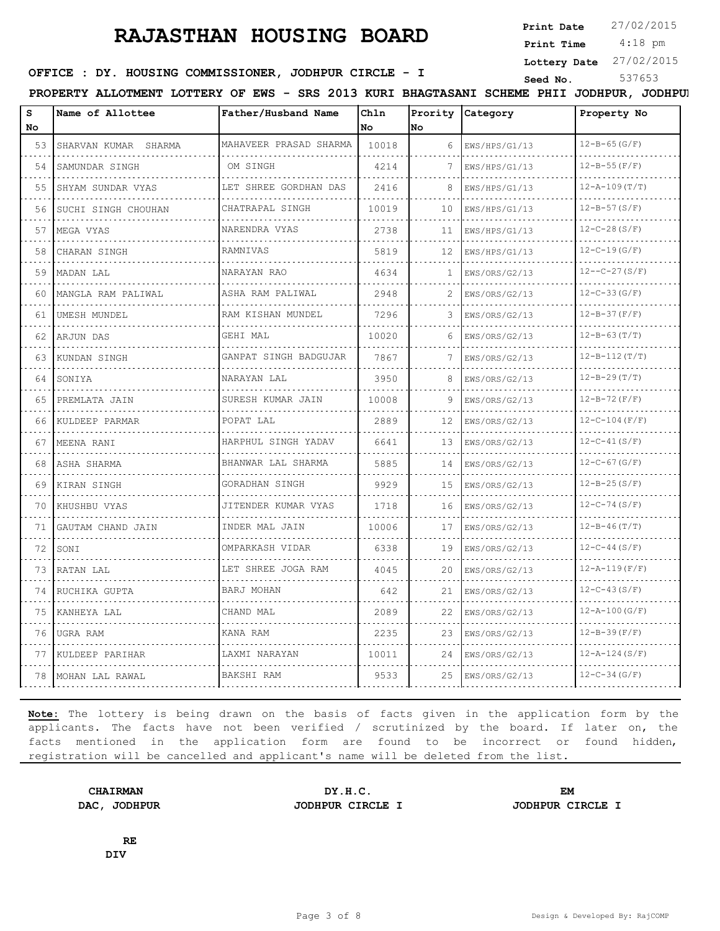**Print Date**  $27/02/2015$ 

4:18 pm **Print Time**

**Lottery Date** 27/02/2015

#### **SEED IN SEED IN SEED ASSESSED ASSESSED ASSESSED ASSESSED ASSESS** Seed No. 537653

**PROPERTY ALLOTMENT LOTTERY OF EWS - SRS 2013 KURI BHAGTASANI SCHEME PHII JODHPUR, JODHPUR**

| s  | Name of Allottee        | Father/Husband Name     | Chln  |              | Prority Category  | Property No          |
|----|-------------------------|-------------------------|-------|--------------|-------------------|----------------------|
| No |                         |                         | No.   | lno.         |                   |                      |
|    | 53 SHARVAN KUMAR SHARMA | MAHAVEER PRASAD SHARMA  | 10018 | 6            | $I$ EWS/HPS/G1/13 | $12 - B - 65(G/F)$   |
| 54 | SAMUNDAR SINGH          | OM SINGH                | 4214  | 7            | EWS/HPS/G1/13     | $12 - B - 55(F/F)$   |
| 55 | SHYAM SUNDAR VYAS       | LET SHREE GORDHAN DAS   | 2416  | 8            | EWS/HPS/G1/13     | $12 - A - 109(T/T)$  |
| 56 | SUCHI SINGH CHOUHAN     | CHATRAPAL SINGH         | 10019 | 10           | EWS/HPS/G1/13     | $12 - B - 57(S/F)$   |
| 57 | MEGA VYAS               | NARENDRA VYAS           | 2738  | 11           | EWS/HPS/G1/13     | $12-C-28(S/F)$       |
| 58 | CHARAN SINGH            | RAMNIVAS<br>.           | 5819  | 12           | EWS/HPS/G1/13     | $12 - C - 19(G/F)$   |
| 59 | MADAN LAL               | NARAYAN RAO             | 4634  | $\mathbf{1}$ | EWS/ORS/G2/13     | $12 - -C - 27(S/F)$  |
| 60 | MANGLA RAM PALIWAL      | ASHA RAM PALIWAL        | 2948  |              | EWS/ORS/G2/13     | .<br>$12-C-33(G/F)$  |
| 61 | UMESH MUNDEL            | RAM KISHAN MUNDEL       | 7296  | 3            | EWS/ORS/G2/13     | $12 - B - 37(F/F)$   |
| 62 | ARJUN DAS               | GEHI MAL                | 10020 | 6            | EWS/ORS/G2/13     | $12 - B - 63(T/T)$   |
| 63 | KUNDAN SINGH            | GANPAT SINGH BADGUJAR   | 7867  | 7            | EWS/ORS/G2/13     | $12 - B - 112(T)$    |
| 64 | I SONIYA                | NARAYAN LAL             | 3950  | 8            | EWS/ORS/G2/13     | $12 - B - 29(T/T)$   |
| 65 | PREMLATA JAIN           | SURESH KUMAR JAIN       | 10008 | 9            | EWS/ORS/G2/13     | $12 - B - 72(F/F)$   |
| 66 | KULDEEP PARMAR          | POPAT LAL               | 2889  | 12           | EWS/ORS/G2/13     | $12-C-104(F/F)$      |
| 67 | MEENA RANI              | HARPHUL SINGH YADAV     | 6641  | 1.3          | EWS/ORS/G2/13     | $12-C-41(S/F)$       |
| 68 | ASHA SHARMA             | BHANWAR LAL SHARMA<br>. | 5885  | 14           | EWS/ORS/G2/13     | $12 - C - 67$ (G/F)  |
| 69 | KIRAN SINGH             | GORADHAN SINGH          | 9929  | 15           | EWS/ORS/G2/13     | $12 - B - 25(S/F)$   |
| 70 | KHUSHBU VYAS            | JITENDER KUMAR VYAS     | 1718  | 16           | EWS/ORS/G2/13     | $12-C-74(S/F)$       |
| 71 | GAUTAM CHAND JAIN       | INDER MAL JAIN          | 10006 | 17           | EWS/ORS/G2/13     | $12 - B - 46(T/T)$   |
| 72 | SONI                    | .<br>OMPARKASH VIDAR    | 6338  | 19           | EWS/ORS/G2/13     | $12-C-44(S/F)$       |
| 73 | RATAN LAL               | LET SHREE JOGA RAM      | 4045  | 20           | EWS/ORS/G2/13     | $12 - A - 119$ (F/F) |
| 74 | RUCHIKA GUPTA           | <b>BARJ MOHAN</b>       | 642   | 21           | EWS/ORS/G2/13     | $12 - C - 43(S/F)$   |
| 75 | KANHEYA LAL             | CHAND MAL               | 2089  | 22           | EWS/ORS/G2/13     | $12 - A - 100(G/F)$  |
| 76 | UGRA RAM                | KANA RAM                | 2235  | 23           | EWS/ORS/G2/13     | $12 - B - 39(F/F)$   |
| 77 | KULDEEP PARIHAR         | LAXMI NARAYAN           | 10011 | 24           | EWS/ORS/G2/13     | $12 - A - 124(S/F)$  |
| 78 | MOHAN LAL RAWAL         | BAKSHI RAM              | 9533  | 2.5          | EWS/ORS/G2/13     | $12-C-34(G/F)$       |
|    |                         |                         |       |              |                   |                      |

**Note:** The lottery is being drawn on the basis of facts given in the application form by the applicants. The facts have not been verified / scrutinized by the board. If later on, the facts mentioned in the application form are found to be incorrect or found hidden, registration will be cancelled and applicant's name will be deleted from the list.

**CHAIRMAN DY.H.C. EM DAC, JODHPUR JODHPUR CIRCLE I JODHPUR CIRCLE I**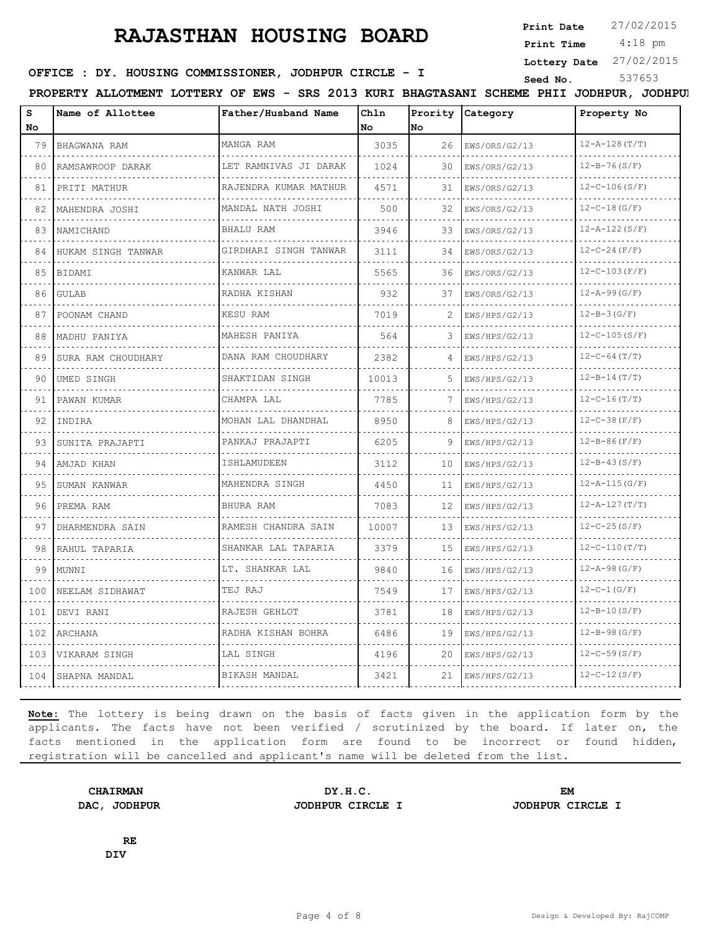**Print Date**  $27/02/2015$ 

4:18 pm **Print Time**

**Lottery Date** 27/02/2015

# **SEED IDER : DY. HOUSING COMMISSIONER, JODHPUR CIRCLE - I Seed No.** 537653

**PROPERTY ALLOTMENT LOTTERY OF EWS - SRS 2013 KURI BHAGTASANI SCHEME PHII JODHPUR, JODHPUR**

| s     | Name of Allottee   | Father/Husband Name      | Chln  |    | Prority Category | Property No         |
|-------|--------------------|--------------------------|-------|----|------------------|---------------------|
| No    |                    |                          | No.   | No |                  |                     |
| 79    | BHAGWANA RAM       | MANGA RAM                | 3035  | 26 | EWS/ORS/G2/13    | $12 - A - 128(T/T)$ |
| 80    | RAMSAWROOP DARAK   | LET RAMNIVAS JI DARAK    | 1024  | 30 | EWS/ORS/G2/13    | $12 - B - 76(S/F)$  |
| 81    | PRITI MATHUR       | RAJENDRA KUMAR MATHUR    | 4571  | 31 | EWS/ORS/G2/13    | $12 - C - 106(S/F)$ |
| 82    | MAHENDRA JOSHI     | MANDAL NATH JOSHI        | 500   | 32 | EWS/ORS/G2/13    | $12-C-18(G/F)$      |
| 83    | NAMICHAND          | BHALU RAM                | 3946  | 33 | EWS/ORS/G2/13    | $12 - A - 122(S/F)$ |
| 84    | HUKAM SINGH TANWAR | GIRDHARI SINGH TANWAR    | 3111  | 34 | EWS/ORS/G2/13    | $12-C-24(F/F)$      |
| 85    | BIDAMI             | KANWAR LAL               | 5565  | 36 | EWS/ORS/G2/13    | $12-C-103(F/F)$     |
| 86    | GULAB              | RADHA KISHAN             | 932   | 37 | EWS/ORS/G2/13    | $12 - A - 99(G/F)$  |
| 87    | POONAM CHAND       | KESU RAM                 | 7019  |    | EWS/HPS/G2/13    | $12 - B - 3(G/F)$   |
| 88    | MADHU PANIYA       | MAHESH PANIYA            | 564   |    | EWS/HPS/G2/13    | $12-C-105(S/F)$     |
| 89    | SURA RAM CHOUDHARY | DANA RAM CHOUDHARY<br>.  | 2382  | 4  | EWS/HPS/G2/13    | $12-C-64(T/T)$      |
| 90    | UMED SINGH         | SHAKTIDAN SINGH          | 10013 | 5. | EWS/HPS/G2/13    | $12 - B - 14(T/T)$  |
| 91    | PAWAN KUMAR        | CHAMPA LAL               | 7785  |    | EWS/HPS/G2/13    | $12 - C - 16(T/T)$  |
| 92    | INDIRA             | MOHAN LAL DHANDHAL<br>.  | 8950  |    | EWS/HPS/G2/13    | $12-C-38(F/F)$      |
| 93    | SUNITA PRAJAPTI    | PANKAJ PRAJAPTI          | 6205  | 9  | EWS/HPS/G2/13    | $12 - B - 86(F/F)$  |
| 94    | AMJAD KHAN         | ISHLAMUDEEN              | 3112  | 10 | EWS/HPS/G2/13    | $12 - B - 43(S/F)$  |
| 95    | SUMAN KANWAR       | MAHENDRA SINGH           | 4450  | 11 | EWS/HPS/G2/13    | $12 - A - 115(G/F)$ |
| 96    | PREMA RAM          | BHURA RAM                | 7083  | 12 | EWS/HPS/G2/13    | $12 - A - 127(T)$   |
| 97    | DHARMENDRA SAIN    | RAMESH CHANDRA SAIN      | 10007 | 13 | EWS/HPS/G2/13    | $12 - C - 25(S/F)$  |
| 98    | RAHUL TAPARIA      | SHANKAR LAL TAPARIA<br>. | 3379  | 15 | EWS/HPS/G2/13    | $12 - C - 110(T/T)$ |
| 99    | MUNNI              | LT. SHANKAR LAL          | 9840  | 16 | EWS/HPS/G2/13    | $12 - A - 98(G/F)$  |
| 100   | NEELAM SIDHAWAT    | TEJ RAJ                  | 7549  | 17 | EWS/HPS/G2/13    | $12-C-1(G/F)$       |
| 101   | DEVI RANI          | RAJESH GEHLOT            | 3781  | 18 | EWS/HPS/G2/13    | $12 - B - 10(S/F)$  |
| 102   | ARCHANA            | RADHA KISHAN BOHRA       | 6486  | 19 | EWS/HPS/G2/13    | $12 - B - 98(G/F)$  |
| 103   | VIKARAM SINGH      | LAL SINGH                | 4196  | 20 | EWS/HPS/G2/13    | $12 - C - 59(S/F)$  |
| 104 l | SHAPNA MANDAL      | BIKASH MANDAL            | 3421  | 21 | EWS/HPS/G2/13    | $12-C-12(S/F)$      |
|       |                    |                          |       |    | .                |                     |

**Note:** The lottery is being drawn on the basis of facts given in the application form by the applicants. The facts have not been verified / scrutinized by the board. If later on, the facts mentioned in the application form are found to be incorrect or found hidden, registration will be cancelled and applicant's name will be deleted from the list.

**CHAIRMAN DY.H.C. EM DAC, JODHPUR JODHPUR CIRCLE I JODHPUR CIRCLE I**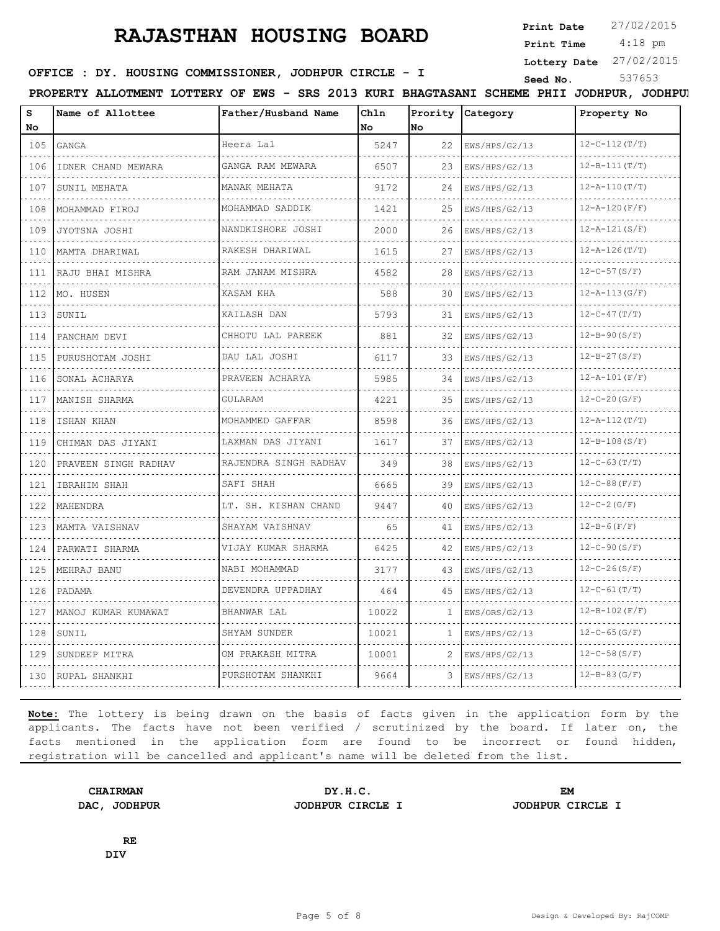**Print Date**  $27/02/2015$ 

 4:18 pm **Print Time**

**Lottery Date** 27/02/2015

#### **SEED IDER : DY. HOUSING COMMISSIONER, JODHPUR CIRCLE - I** Seed No. 537653

**PROPERTY ALLOTMENT LOTTERY OF EWS - SRS 2013 KURI BHAGTASANI SCHEME PHII JODHPUR, JODHPUR**

| s<br>No | Name of Allottee     | Father/Husband Name                  | Chln<br>No | Prority<br>lno | <b>Category</b> | Property No         |
|---------|----------------------|--------------------------------------|------------|----------------|-----------------|---------------------|
| 105     | GANGA                | Heera Lal                            | 5247       | 22             | EWS/HPS/G2/13   | $12 - C - 112(T/T)$ |
| 106     | IDNER CHAND MEWARA   | GANGA RAM MEWARA                     | 6507       | 23             | EWS/HPS/G2/13   | $12 - B - 111(T/T)$ |
| 107     | .<br>SUNIL MEHATA    | MANAK MEHATA                         | 9172       | 24             | EWS/HPS/G2/13   | $12 - A - 110(T/T)$ |
| 108     | .<br>MOHAMMAD FIROJ  | dia dia dia dia 4<br>MOHAMMAD SADDIK | 1421       | 25             | EWS/HPS/G2/13   | $12 - A - 120(F/F)$ |
| 109     | JYOTSNA JOSHI        | NANDKISHORE JOSHI                    | 2000       | 26             | EWS/HPS/G2/13   | $12 - A - 121(S/F)$ |
| 110     | MAMTA DHARIWAL       | RAKESH DHARIWAL                      | 1615       | 27             | EWS/HPS/G2/13   | $12 - A - 126(T/T)$ |
| 111     | RAJU BHAI MISHRA     | .<br>RAM JANAM MISHRA                | 4582       | 28             | EWS/HPS/G2/13   | $12-C-57(S/F)$      |
| 112     | MO. HUSEN            | KASAM KHA                            | 588        | 30             | EWS/HPS/G2/13   | $12 - A - 113(G/F)$ |
| 113     | SUNIL                | KAILASH DAN                          | 5793       | 31             | EWS/HPS/G2/13   | $12 - C - 47(T/T)$  |
| 114     | PANCHAM DEVI         | CHHOTU LAL PAREEK                    | 881        | 32             | EWS/HPS/G2/13   | $12 - B - 90(S/F)$  |
| 115     | PURUSHOTAM JOSHI     | DAU LAL JOSHI                        | 6117       | 33             | EWS/HPS/G2/13   | $12 - B - 27(S/F)$  |
| 116     | SONAL ACHARYA        | PRAVEEN ACHARYA                      | 5985       | 34             | EWS/HPS/G2/13   | $12 - A - 101(F/F)$ |
| 117     | MANISH SHARMA        | .<br>GULARAM                         | 4221       | 35             | EWS/HPS/G2/13   | $12-C-20(G/F)$      |
| 118     | ISHAN KHAN           | MOHAMMED GAFFAR                      | 8598       | 36             | EWS/HPS/G2/13   | $12 - A - 112(T)$   |
| 119     | CHIMAN DAS JIYANI    | LAXMAN DAS JIYANI                    | 1617       | 37             | EWS/HPS/G2/13   | $12 - B - 108(S/F)$ |
| 120     | PRAVEEN SINGH RADHAV | .<br>RAJENDRA SINGH RADHAV           | 349        | 38             | EWS/HPS/G2/13   | $12 - C - 63(T/T)$  |
| 121     | IBRAHIM SHAH         | SAFI SHAH                            | 6665       | 39             | EWS/HPS/G2/13   | $12-C-88(F/F)$      |
| 122     | MAHENDRA             | LT. SH. KISHAN CHAND                 | 9447       | 40             | EWS/HPS/G2/13   | $12-C-2(G/F)$       |
| 123     | MAMTA VAISHNAV       | .<br>SHAYAM VAISHNAV                 | 65         | 41             | EWS/HPS/G2/13   | $12 - B - 6(F/F)$   |
| 124     | PARWATI SHARMA       | VIJAY KUMAR SHARMA                   | 6425       | 42             | EWS/HPS/G2/13   | $12-C-90(S/F)$      |
| 125     | MEHRAJ BANU          | NABI MOHAMMAD                        | 3177       | 43             | EWS/HPS/G2/13   | $12-C-26(S/F)$      |
| 126     | PADAMA               | .<br>DEVENDRA UPPADHAY               | 464        | 45             | EWS/HPS/G2/13   | $12 - C - 61(T/T)$  |
| 127     | MANOJ KUMAR KUMAWAT  | BHANWAR LAL                          | 10022      | 1              | EWS/ORS/G2/13   | $12 - B - 102(F/F)$ |
| 128     | SUNIL                | SHYAM SUNDER                         | 10021      | 1              | EWS/HPS/G2/13   | $12 - C - 65$ (G/F) |
| 129     | SUNDEEP MITRA        | OM PRAKASH MITRA                     | 10001      | 2              | EWS/HPS/G2/13   | $12 - C - 58 (S/F)$ |
| 130     | RUPAL SHANKHI        | PURSHOTAM SHANKHI                    | 9664       | 3              | EWS/HPS/G2/13   | $12 - B - 83(G/F)$  |

**Note:** The lottery is being drawn on the basis of facts given in the application form by the applicants. The facts have not been verified / scrutinized by the board. If later on, the facts mentioned in the application form are found to be incorrect or found hidden, registration will be cancelled and applicant's name will be deleted from the list.

**CHAIRMAN DY.H.C. EM DAC, JODHPUR JODHPUR CIRCLE I JODHPUR CIRCLE I**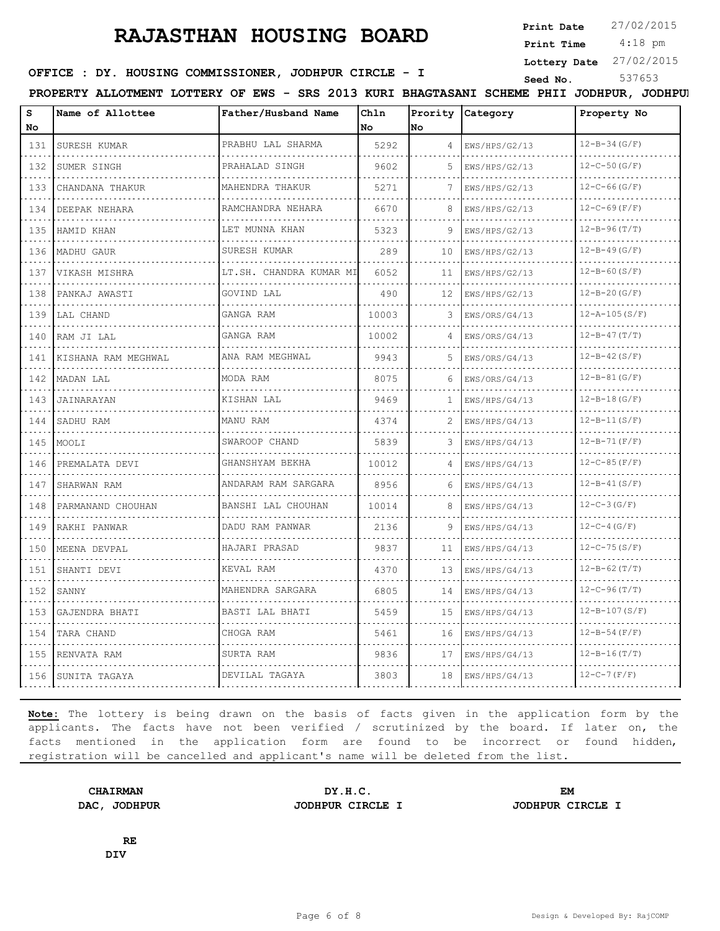**Print Date**  $27/02/2015$ 

4:18 pm **Print Time**

**Lottery Date** 27/02/2015

#### **SEED IN SEED IN SEED ASSESSED ASSESSED ASSESSED ASSESSED ASSESSED FOR SEED ASSESS** STRING STRING STRING STRING STRING STRING STRING STRING STRING STRING STRING STRING STRING STRING STRING STRING STRING STRING STRING STRIN

**PROPERTY ALLOTMENT LOTTERY OF EWS - SRS 2013 KURI BHAGTASANI SCHEME PHII JODHPUR, JODHPUR**

| s                                  | Name of Allottee    | Father/Husband Name     | Chln  |      | Prority Category   | Property No             |
|------------------------------------|---------------------|-------------------------|-------|------|--------------------|-------------------------|
| No                                 |                     |                         | No    | lNo. |                    |                         |
| 131<br>.                           | SURESH KUMAR        | PRABHU LAL SHARMA       | 5292  | 4    | EWS/HPS/G2/13      | $12 - B - 34 (G/F)$     |
| 132                                | SUMER SINGH         | PRAHALAD SINGH          | 9602  | 5    | EWS/HPS/G2/13      | $12-C-50(G/F)$          |
| 133<br>.                           | CHANDANA THAKUR     | MAHENDRA THAKUR         | 5271  | 7    | EWS/HPS/G2/13      | $12 - C - 66$ (G/F)     |
| 134<br>.                           | DEEPAK NEHARA       | RAMCHANDRA NEHARA<br>.  | 6670  | 8    | EWS/HPS/G2/13<br>. | $12 - C - 69(F/F)$<br>. |
| 135                                | HAMID KHAN          | LET MUNNA KHAN          | 5323  |      | EWS/HPS/G2/13      | $12 - B - 96(T/T)$      |
| 136<br>.                           | MADHU GAUR          | SURESH KUMAR            | 289   | 10   | EWS/HPS/G2/13      | $12 - B - 49(G/F)$      |
| 137<br>.                           | VIKASH MISHRA       | LT.SH. CHANDRA KUMAR MI | 6052  | 11   | EWS/HPS/G2/13<br>. | $12 - B - 60(S/F)$      |
| 138                                | PANKAJ AWASTI       | GOVIND LAL              | 490   | 12   | EWS/HPS/G2/13      | $12 - B - 20(G/F)$      |
| 139<br>.                           | LAL CHAND           | GANGA RAM               | 10003 | 3    | EWS/ORS/G4/13      | $12 - A - 105(S/F)$     |
| 140<br>.                           | RAM JI LAL          | GANGA RAM               | 10002 | 4    | EWS/ORS/G4/13<br>. | $12 - B - 47(T)$        |
| 141                                | KISHANA RAM MEGHWAL | ANA RAM MEGHWAL         | 9943  |      | EWS/ORS/G4/13      | $12 - B - 42(S/F)$      |
| 142<br>.                           | MADAN LAL           | MODA RAM                | 8075  | 6    | EWS/ORS/G4/13      | $12 - B - 81(G/F)$      |
| 143<br>.                           | JAINARAYAN          | KISHAN LAL              | 9469  | 1    | EWS/HPS/G4/13      | $12 - B - 18(G/F)$      |
| 144                                | SADHU RAM           | MANU RAM                | 4374  |      | EWS/HPS/G4/13      | $12 - B - 11(S/F)$      |
| 145<br>.                           | MOOLI               | SWAROOP CHAND           | 5839  | 3.   | EWS/HPS/G4/13      | $12 - B - 71(F/F)$      |
| 146                                | PREMALATA DEVI      | GHANSHYAM BEKHA         | 10012 | 4    | EWS/HPS/G4/13      | $12-C-85(F/F)$          |
| .<br>147                           | SHARWAN RAM         | ANDARAM RAM SARGARA     | 8956  | 6    | EWS/HPS/G4/13      | $12 - B - 41(S/F)$      |
| 148                                | PARMANAND CHOUHAN   | BANSHI LAL CHOUHAN      | 10014 | 8    | EWS/HPS/G4/13      | $12 - C - 3$ (G/F)      |
| 149                                | RAKHI PANWAR        | DADU RAM PANWAR         | 2136  | 9    | EWS/HPS/G4/13      | $12 - C - 4$ (G/F)      |
| $\sim$ $\sim$ $\sim$ $\sim$<br>150 | MEENA DEVPAL        | HAJARI PRASAD           | 9837  | 11   | EWS/HPS/G4/13      | $12 - C - 75(S/F)$      |
| المناصب<br>151<br>.                | SHANTI DEVI         | KEVAL RAM               | 4370  | 13   | EWS/HPS/G4/13      | $12 - B - 62(T/T)$      |
| 152                                | SANNY               | MAHENDRA SARGARA        | 6805  | 14   | EWS/HPS/G4/13      | $12 - C - 96(T/T)$      |
| .<br>153                           | GAJENDRA BHATI      | BASTI LAL BHATI         | 5459  | 15   | EWS/HPS/G4/13      | $12 - B - 107(S/F)$     |
| 154                                | TARA CHAND          | CHOGA RAM               | 5461  | 16   | EWS/HPS/G4/13      | $12 - B - 54(F/F)$      |
| .<br>155                           | RENVATA RAM         | SURTA RAM               | 9836  | 17   | EWS/HPS/G4/13      | $12 - B - 16(T/T)$      |
| 156                                | SUNITA TAGAYA       | DEVILAL TAGAYA          | 3803  | 18   | EWS/HPS/G4/13      | $12-C-7(F/F)$           |
| .                                  | .                   | .                       |       |      | .                  |                         |

**Note:** The lottery is being drawn on the basis of facts given in the application form by the applicants. The facts have not been verified / scrutinized by the board. If later on, the facts mentioned in the application form are found to be incorrect or found hidden, registration will be cancelled and applicant's name will be deleted from the list.

CHAIRMAN DY.H.C. EM<br>
AC, JODHPUR CODHPUR CIRCLE I JODHPUR CIRCLE I **DAC, JODHPUR JODHPUR CIRCLE I JODHPUR CIRCLE I**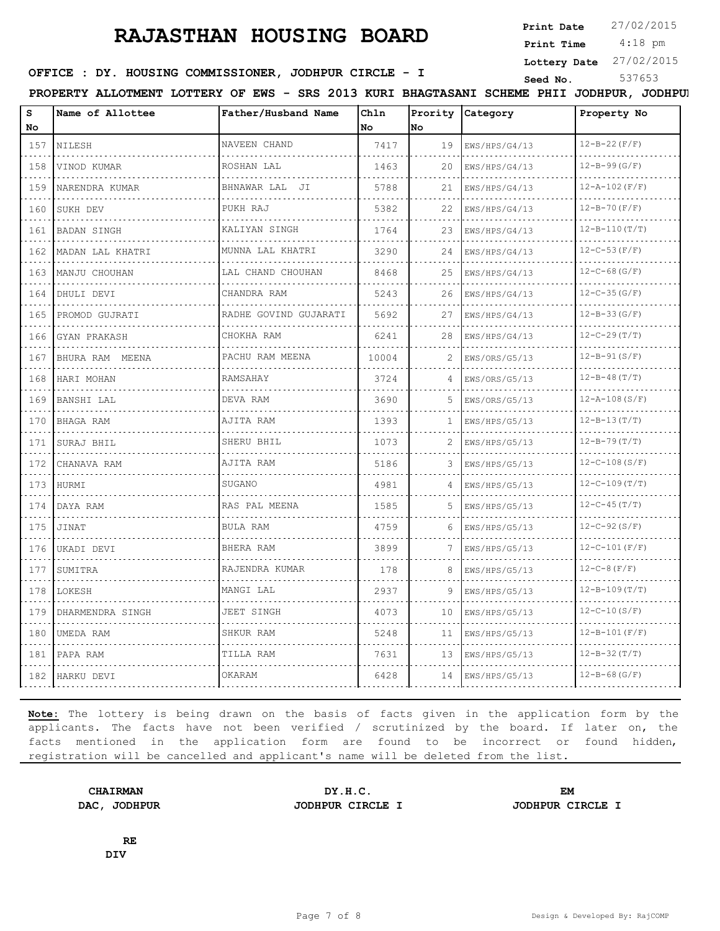**Print Date**  $27/02/2015$ 

 4:18 pm **Print Time**

**Lottery Date** 27/02/2015

# **SEED IN SEED IN SEED ASSESSED ASSESSED ASSESSED ASSESSED ASSESSED ASSESSED ASSESS** STRING STRING STRING STRING STRING STRING STRING STRING STRING STRING STRING STRING STRING STRING STRING STRING STRING STRING STRING STRIN

**PROPERTY ALLOTMENT LOTTERY OF EWS - SRS 2013 KURI BHAGTASANI SCHEME PHII JODHPUR, JODHPUR**

| S                           | Name of Allottee | Father/Husband Name        | Chln<br>l No | No | Prority Category                    | Property No         |
|-----------------------------|------------------|----------------------------|--------------|----|-------------------------------------|---------------------|
| No                          |                  | NAVEEN CHAND               | 7417         |    |                                     | $12 - B - 22(F/F)$  |
| 157                         | NILESH           |                            |              | 19 | EWS/HPS/G4/13                       |                     |
| 158<br>$\sim$ $\sim$ $\sim$ | VINOD KUMAR      | ROSHAN LAL                 | 1463         | 20 | EWS/HPS/G4/13                       | $12 - B - 99(G/F)$  |
| 159<br>.                    | NARENDRA KUMAR   | BHNAWAR LAL JI             | 5788         | 21 | EWS/HPS/G4/13                       | $12 - A - 102(F/F)$ |
| 160                         | SUKH DEV         | PUKH RAJ                   | 5382         | 22 | EWS/HPS/G4/13                       | $12 - B - 70(F/F)$  |
| 161<br>.                    | BADAN SINGH      | KALIYAN SINGH              | 1764         | 23 | EWS/HPS/G4/13                       | $12 - B - 110(T/T)$ |
| 162                         | MADAN LAL KHATRI | MUNNA LAL KHATRI<br>.      | 3290         | 24 | EWS/HPS/G4/13                       | $12 - C - 53(F/F)$  |
| 163                         | MANJU CHOUHAN    | LAL CHAND CHOUHAN          | 8468         | 25 | EWS/HPS/G4/13                       | $12 - C - 68$ (G/F) |
| 164<br>.                    | DHULI DEVI       | CHANDRA RAM                | 5243         | 26 | EWS/HPS/G4/13                       | $12 - C - 35 (G/F)$ |
| 165<br>.                    | PROMOD GUJRATI   | RADHE GOVIND GUJARATI<br>. | 5692         | 27 | EWS/HPS/G4/13                       | $12 - B - 33$ (G/F) |
| 166                         | GYAN PRAKASH     | CHOKHA RAM                 | 6241         | 28 | EWS/HPS/G4/13                       | $12 - C - 29(T/T)$  |
| 167                         | BHURA RAM MEENA  | PACHU RAM MEENA            | 10004        | 2  | EWS/ORS/G5/13<br>did did did did di | $12 - B - 91(S/F)$  |
| 168                         | HARI MOHAN       | RAMSAHAY                   | 3724         | 4  | EWS/ORS/G5/13                       | $12 - B - 48(T/T)$  |
| 169                         | BANSHI LAL       | DEVA RAM                   | 3690         | 5  | EWS/ORS/G5/13                       | $12 - A - 108(S/F)$ |
| .<br>170                    | BHAGA RAM        | AJITA RAM                  | 1393         | 1. | EWS/HPS/G5/13                       | $12 - B - 13(T/T)$  |
| 171                         | SURAJ BHIL       | SHERU BHIL                 | 1073         | 2  | EWS/HPS/G5/13                       | $12 - B - 79(T/T)$  |
| 172                         | CHANAVA RAM      | AJITA RAM                  | 5186         | 3  | EWS/HPS/G5/13                       | $12-C-108(S/F)$     |
| 173                         | HURMI            | SUGANO                     | 4981         |    | EWS/HPS/G5/13                       | $12 - C - 109(T/T)$ |
| 174                         | DAYA RAM         | RAS PAL MEENA              | 1585         | 5. | EWS/HPS/G5/13                       | $12 - C - 45(T)$    |
| 175<br>.                    | JINAT            | BULA RAM                   | 4759         | 6  | EWS/HPS/G5/13                       | $12-C-92(S/F)$      |
| 176                         | UKADI DEVI       | BHERA RAM                  | 3899         |    | EWS/HPS/G5/13                       | $12-C-101(F/F)$     |
| 177                         | SUMITRA          | RAJENDRA KUMAR             | 178          | 8  | EWS/HPS/G5/13                       | $12 - C - 8(F/F)$   |
| 178                         | LOKESH           | MANGI LAL                  | 2937         | 9  | EWS/HPS/G5/13                       | $12 - B - 109(T/T)$ |
| 179                         | DHARMENDRA SINGH | JEET SINGH                 | 4073         | 10 | EWS/HPS/G5/13                       | $12-C-10(S/F)$      |
| 180                         | UMEDA RAM        | SHKUR RAM                  | 5248         | 11 | EWS/HPS/G5/13                       | $12 - B - 101(F/F)$ |
| 181                         | PAPA RAM         | TILLA RAM                  | 7631         | 13 | EWS/HPS/G5/13                       | $12 - B - 32(T/T)$  |
| 182                         | HARKU DEVI       | OKARAM                     | 6428         | 14 | EWS/HPS/G5/13                       | $12 - B - 68(G/F)$  |

**Note:** The lottery is being drawn on the basis of facts given in the application form by the applicants. The facts have not been verified / scrutinized by the board. If later on, the facts mentioned in the application form are found to be incorrect or found hidden, registration will be cancelled and applicant's name will be deleted from the list.

**CHAIRMAN DY.H.C. EM DAC, JODHPUR JODHPUR CIRCLE I JODHPUR CIRCLE I**